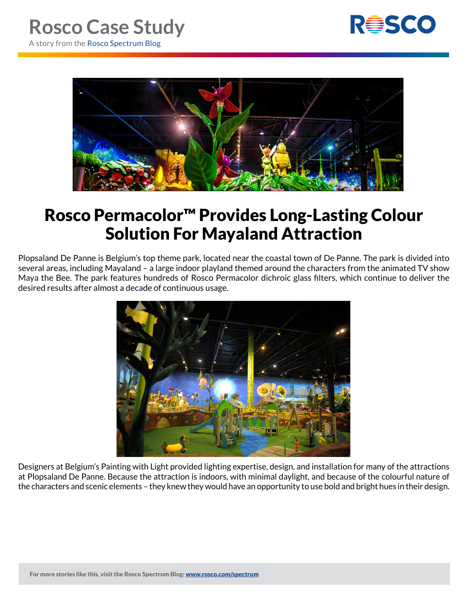



## Rosco Permacolor™ Provides Long-Lasting Colour Solution For Mayaland Attraction

Plopsaland De Panne is Belgium's top theme park, located near the coastal town of De Panne. The park is divided into several areas, including Mayaland – a large indoor playland themed around the characters from the animated TV show Maya the Bee. The park features hundreds of Rosco Permacolor dichroic glass filters, which continue to deliver the desired results after almost a decade of continuous usage.



Designers at Belgium's Painting with Light provided lighting expertise, design, and installation for many of the attractions at Plopsaland De Panne. Because the attraction is indoors, with minimal daylight, and because of the colourful nature of the characters and scenic elements – they knew they would have an opportunity to use bold and bright hues in their design.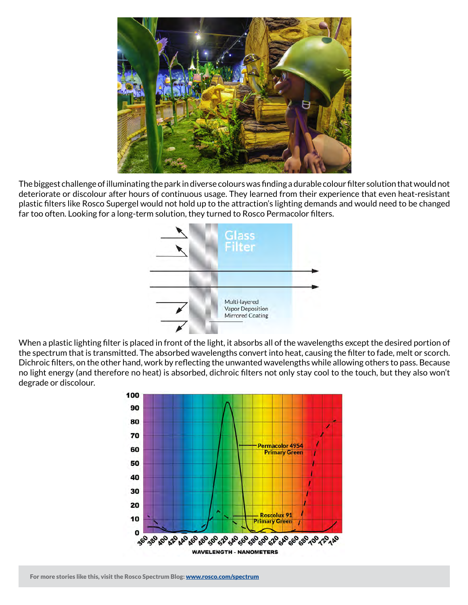

The biggest challenge of illuminating the park in diverse colours was finding a durable colour filter solution that would not deteriorate or discolour after hours of continuous usage. They learned from their experience that even heat-resistant plastic filters like Rosco Supergel would not hold up to the attraction's lighting demands and would need to be changed far too often. Looking for a long-term solution, they turned to Rosco Permacolor filters.



When a plastic lighting filter is placed in front of the light, it absorbs all of the wavelengths except the desired portion of the spectrum that is transmitted. The absorbed wavelengths convert into heat, causing the filter to fade, melt or scorch. Dichroic filters, on the other hand, work by reflecting the unwanted wavelengths while allowing others to pass. Because no light energy (and therefore no heat) is absorbed, dichroic filters not only stay cool to the touch, but they also won't degrade or discolour.